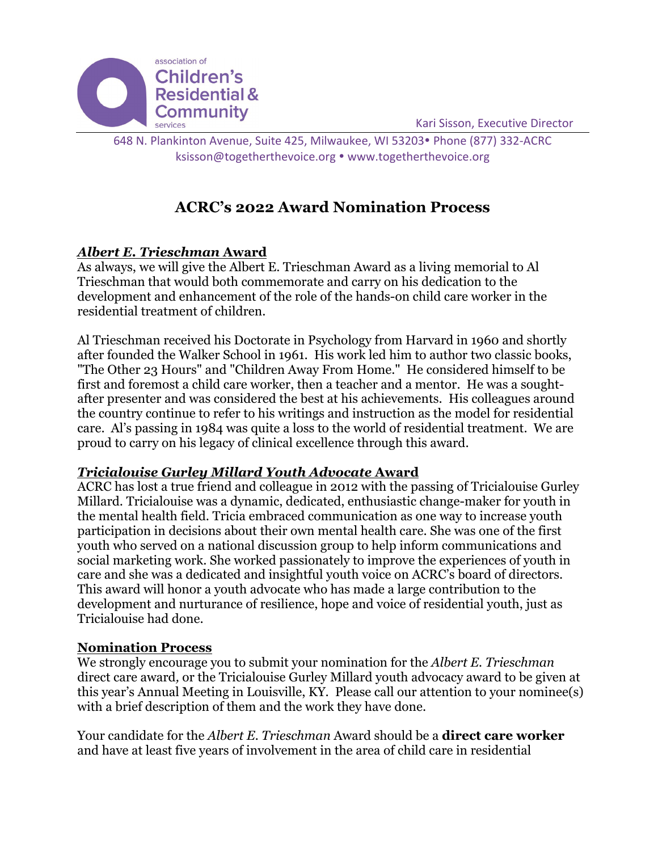

Kari Sisson, Executive Director

648 N. Plankinton Avenue, Suite 425, Milwaukee, WI 53203• Phone (877) 332-ACRC [ksisson@togetherthevoice.org](mailto:ksisson@togetherthevoice.org) • [www.togetherthevoice.org](http://www.togetherthevoice.org/)

# **ACRC's 2022 Award Nomination Process**

## *Albert E. Trieschman* **Award**

As always, we will give the Albert E. Trieschman Award as a living memorial to Al Trieschman that would both commemorate and carry on his dedication to the development and enhancement of the role of the hands-on child care worker in the residential treatment of children.

Al Trieschman received his Doctorate in Psychology from Harvard in 1960 and shortly after founded the Walker School in 1961. His work led him to author two classic books, "The Other 23 Hours" and "Children Away From Home." He considered himself to be first and foremost a child care worker, then a teacher and a mentor. He was a soughtafter presenter and was considered the best at his achievements. His colleagues around the country continue to refer to his writings and instruction as the model for residential care. Al's passing in 1984 was quite a loss to the world of residential treatment. We are proud to carry on his legacy of clinical excellence through this award.

## *Tricialouise Gurley Millard Youth Advocate* **Award**

ACRC has lost a true friend and colleague in 2012 with the passing of Tricialouise Gurley Millard. Tricialouise was a dynamic, dedicated, enthusiastic change-maker for youth in the mental health field. Tricia embraced communication as one way to increase youth participation in decisions about their own mental health care. She was one of the first youth who served on a national discussion group to help inform communications and social marketing work. She worked passionately to improve the experiences of youth in care and she was a dedicated and insightful youth voice on ACRC's board of directors. This award will honor a youth advocate who has made a large contribution to the development and nurturance of resilience, hope and voice of residential youth, just as Tricialouise had done.

### **Nomination Process**

We strongly encourage you to submit your nomination for the *Albert E. Trieschman* direct care award*,* or the Tricialouise Gurley Millard youth advocacy award to be given at this year's Annual Meeting in Louisville, KY. Please call our attention to your nominee(s) with a brief description of them and the work they have done.

Your candidate for the *Albert E. Trieschman* Award should be a **direct care worker** and have at least five years of involvement in the area of child care in residential